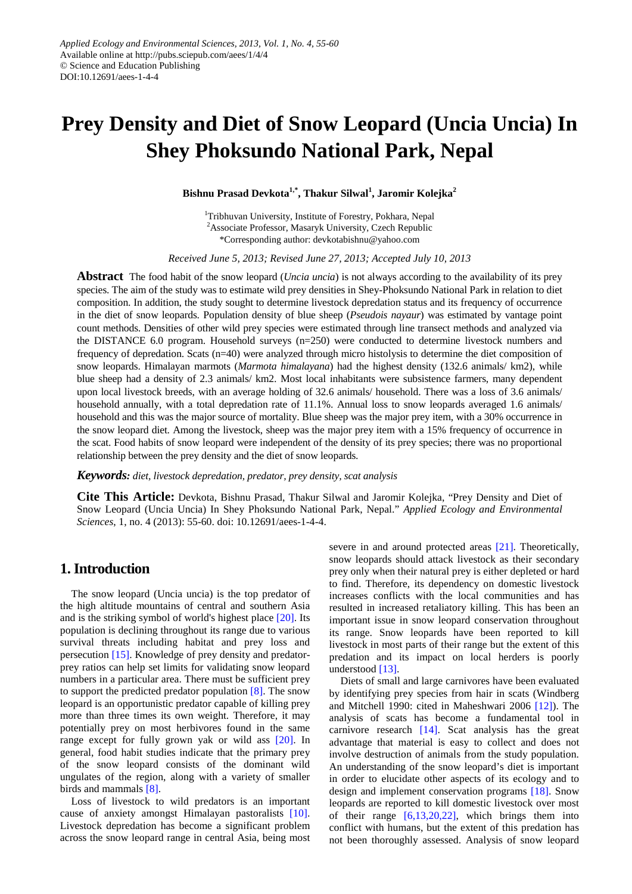# **Prey Density and Diet of Snow Leopard (Uncia Uncia) In Shey Phoksundo National Park, Nepal**

**Bishnu Prasad Devkota1,\* , Thakur Silwal1 , Jaromir Kolejka<sup>2</sup>**

<sup>1</sup>Tribhuvan University, Institute of Forestry, Pokhara, Nepal <sup>2</sup> Associate Professor, Masaryk University, Czech Republic \*Corresponding author: devkotabishnu@yahoo.com

*Received June 5, 2013; Revised June 27, 2013; Accepted July 10, 2013*

**Abstract** The food habit of the snow leopard (*Uncia uncia*) is not always according to the availability of its prey species. The aim of the study was to estimate wild prey densities in Shey-Phoksundo National Park in relation to diet composition. In addition, the study sought to determine livestock depredation status and its frequency of occurrence in the diet of snow leopards. Population density of blue sheep (*Pseudois nayaur*) was estimated by vantage point count methods. Densities of other wild prey species were estimated through line transect methods and analyzed via the DISTANCE 6.0 program. Household surveys (n=250) were conducted to determine livestock numbers and frequency of depredation. Scats (n=40) were analyzed through micro histolysis to determine the diet composition of snow leopards. Himalayan marmots (*Marmota himalayana*) had the highest density (132.6 animals/ km2), while blue sheep had a density of 2.3 animals/ km2. Most local inhabitants were subsistence farmers, many dependent upon local livestock breeds, with an average holding of 32.6 animals/ household. There was a loss of 3.6 animals/ household annually, with a total depredation rate of 11.1%. Annual loss to snow leopards averaged 1.6 animals/ household and this was the major source of mortality. Blue sheep was the major prey item, with a 30% occurrence in the snow leopard diet. Among the livestock, sheep was the major prey item with a 15% frequency of occurrence in the scat. Food habits of snow leopard were independent of the density of its prey species; there was no proportional relationship between the prey density and the diet of snow leopards.

*Keywords: diet, livestock depredation, predator, prey density, scat analysis*

**Cite This Article:** Devkota, Bishnu Prasad, Thakur Silwal and Jaromir Kolejka, "Prey Density and Diet of Snow Leopard (Uncia Uncia) In Shey Phoksundo National Park, Nepal." *Applied Ecology and Environmental Sciences*, 1, no. 4 (2013): 55-60. doi: 10.12691/aees-1-4-4.

# **1. Introduction**

The snow leopard (Uncia uncia) is the top predator of the high altitude mountains of central and southern Asia and is the striking symbol of world's highest place [\[20\].](#page-5-0) Its population is declining throughout its range due to various survival threats including habitat and prey loss and persecution [\[15\].](#page-5-1) Knowledge of prey density and predatorprey ratios can help set limits for validating snow leopard numbers in a particular area. There must be sufficient prey to support the predicted predator population [\[8\].](#page-5-2) The snow leopard is an opportunistic predator capable of killing prey more than three times its own weight. Therefore, it may potentially prey on most herbivores found in the same range except for fully grown yak or wild ass [\[20\].](#page-5-0) In general, food habit studies indicate that the primary prey of the snow leopard consists of the dominant wild ungulates of the region, along with a variety of smaller birds and mammals [\[8\].](#page-5-2)

Loss of livestock to wild predators is an important cause of anxiety amongst Himalayan pastoralists [\[10\].](#page-5-3) Livestock depredation has become a significant problem across the snow leopard range in central Asia, being most severe in and around protected areas [\[21\].](#page-5-4) Theoretically, snow leopards should attack livestock as their secondary prey only when their natural prey is either depleted or hard to find. Therefore, its dependency on domestic livestock increases conflicts with the local communities and has resulted in increased retaliatory killing. This has been an important issue in snow leopard conservation throughout its range. Snow leopards have been reported to kill livestock in most parts of their range but the extent of this predation and its impact on local herders is poorly understood [\[13\].](#page-5-5)

Diets of small and large carnivores have been evaluated by identifying prey species from hair in scats (Windberg and Mitchell 1990: cited in Maheshwari 2006 [\[12\]\)](#page-5-6). The analysis of scats has become a fundamental tool in carnivore research [\[14\].](#page-5-7) Scat analysis has the great advantage that material is easy to collect and does not involve destruction of animals from the study population. An understanding of the snow leopard's diet is important in order to elucidate other aspects of its ecology and to design and implement conservation programs [\[18\].](#page-5-8) Snow leopards are reported to kill domestic livestock over most of their range  $[6,13,20,22]$ , which brings them into conflict with humans, but the extent of this predation has not been thoroughly assessed. Analysis of snow leopard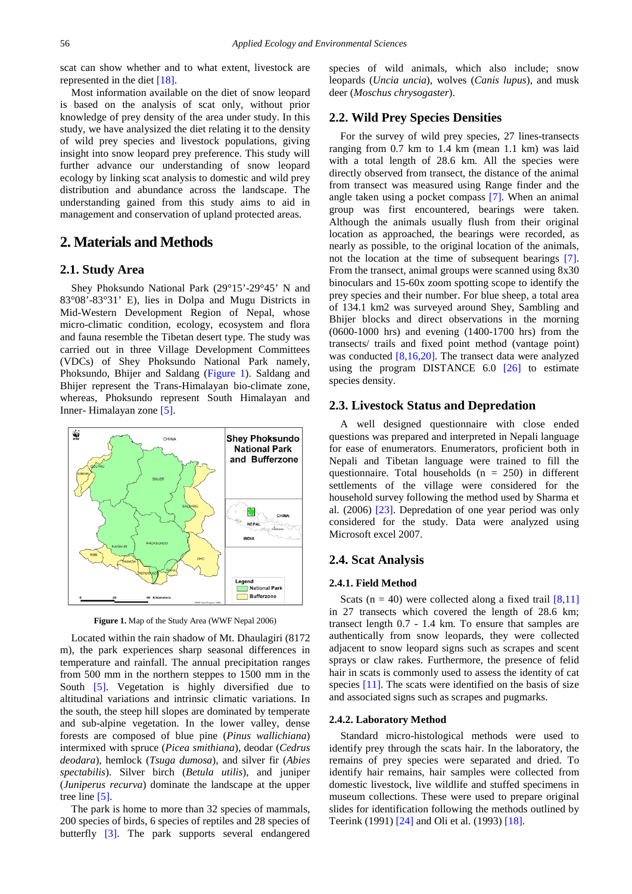scat can show whether and to what extent, livestock are represented in the diet [\[18\].](#page-5-8)

Most information available on the diet of snow leopard is based on the analysis of scat only, without prior knowledge of prey density of the area under study. In this study, we have analysized the diet relating it to the density of wild prey species and livestock populations, giving insight into snow leopard prey preference. This study will further advance our understanding of snow leopard ecology by linking scat analysis to domestic and wild prey distribution and abundance across the landscape. The understanding gained from this study aims to aid in management and conservation of upland protected areas.

# **2. Materials and Methods**

### **2.1. Study Area**

Shey Phoksundo National Park (29°15'-29°45' N and 83°08'-83°31' E), lies in Dolpa and Mugu Districts in Mid-Western Development Region of Nepal, whose micro-climatic condition, ecology, ecosystem and flora and fauna resemble the Tibetan desert type. The study was carried out in three Village Development Committees (VDCs) of Shey Phoksundo National Park namely, Phoksundo, Bhijer and Saldang [\(Figure 1\)](#page-1-0). Saldang and Bhijer represent the Trans-Himalayan bio-climate zone, whereas, Phoksundo represent South Himalayan and Inner- Himalayan zone [\[5\].](#page-5-10)

<span id="page-1-0"></span>

**Figure 1.** Map of the Study Area (WWF Nepal 2006)

Located within the rain shadow of Mt. Dhaulagiri (8172 m), the park experiences sharp seasonal differences in temperature and rainfall. The annual precipitation ranges from 500 mm in the northern steppes to 1500 mm in the South [\[5\].](#page-5-10) Vegetation is highly diversified due to altitudinal variations and intrinsic climatic variations. In the south, the steep hill slopes are dominated by temperate and sub-alpine vegetation. In the lower valley, dense forests are composed of blue pine (*Pinus wallichiana*) intermixed with spruce (*Picea smithiana*), deodar (*Cedrus deodara*), hemlock (*Tsuga dumosa*), and silver fir (*Abies spectabilis*). Silver birch (*Betula utilis*), and juniper (*Juniperus recurva*) dominate the landscape at the upper tree lin[e \[5\].](#page-5-10)

The park is home to more than 32 species of mammals, 200 species of birds, 6 species of reptiles and 28 species of butterfly [\[3\].](#page-5-11) The park supports several endangered species of wild animals, which also include; snow leopards (*Uncia uncia*), wolves (*Canis lupus*), and musk deer (*Moschus chrysogaster*).

## **2.2. Wild Prey Species Densities**

For the survey of wild prey species, 27 lines-transects ranging from 0.7 km to 1.4 km (mean 1.1 km) was laid with a total length of 28.6 km. All the species were directly observed from transect, the distance of the animal from transect was measured using Range finder and the angle taken using a pocket compass [\[7\].](#page-5-12) When an animal group was first encountered, bearings were taken. Although the animals usually flush from their original location as approached, the bearings were recorded, as nearly as possible, to the original location of the animals, not the location at the time of subsequent bearings [\[7\].](#page-5-12) From the transect, animal groups were scanned using 8x30 binoculars and 15-60x zoom spotting scope to identify the prey species and their number. For blue sheep, a total area of 134.1 km2 was surveyed around Shey, Sambling and Bhijer blocks and direct observations in the morning (0600-1000 hrs) and evening (1400-1700 hrs) from the transects/ trails and fixed point method (vantage point) was conducted [\[8,16,20\].](#page-5-2) The transect data were analyzed using the program DISTANCE 6.0 [\[26\]](#page-5-13) to estimate species density.

#### **2.3. Livestock Status and Depredation**

A well designed questionnaire with close ended questions was prepared and interpreted in Nepali language for ease of enumerators. Enumerators, proficient both in Nepali and Tibetan language were trained to fill the questionnaire. Total households  $(n = 250)$  in different settlements of the village were considered for the household survey following the method used by Sharma et al. (2006) [\[23\].](#page-5-14) Depredation of one year period was only considered for the study. Data were analyzed using Microsoft excel 2007.

#### **2.4. Scat Analysis**

#### **2.4.1. Field Method**

Scats ( $n = 40$ ) were collected along a fixed trail [\[8,11\]](#page-5-2) in 27 transects which covered the length of 28.6 km; transect length 0.7 - 1.4 km. To ensure that samples are authentically from snow leopards, they were collected adjacent to snow leopard signs such as scrapes and scent sprays or claw rakes. Furthermore, the presence of felid hair in scats is commonly used to assess the identity of cat species [\[11\].](#page-5-15) The scats were identified on the basis of size and associated signs such as scrapes and pugmarks.

#### **2.4.2. Laboratory Method**

Standard micro-histological methods were used to identify prey through the scats hair. In the laboratory, the remains of prey species were separated and dried. To identify hair remains, hair samples were collected from domestic livestock, live wildlife and stuffed specimens in museum collections. These were used to prepare original slides for identification following the methods outlined by Teerink (1991) [\[24\]](#page-5-16) and Oli et al. (1993[\) \[18\].](#page-5-8)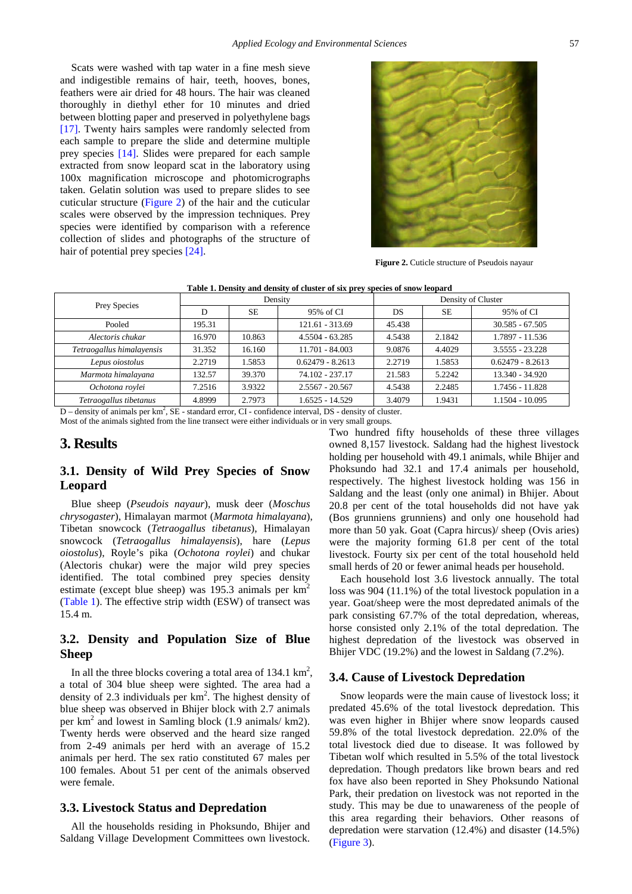Scats were washed with tap water in a fine mesh sieve and indigestible remains of hair, teeth, hooves, bones, feathers were air dried for 48 hours. The hair was cleaned thoroughly in diethyl ether for 10 minutes and dried between blotting paper and preserved in polyethylene bags [\[17\].](#page-5-17) Twenty hairs samples were randomly selected from each sample to prepare the slide and determine multiple prey species [\[14\].](#page-5-7) Slides were prepared for each sample extracted from snow leopard scat in the laboratory using 100x magnification microscope and photomicrographs taken. Gelatin solution was used to prepare slides to see cuticular structure [\(Figure 2\)](#page-2-0) of the hair and the cuticular scales were observed by the impression techniques. Prey species were identified by comparison with a reference collection of slides and photographs of the structure of hair of potential prey specie[s \[24\].](#page-5-16)

<span id="page-2-0"></span>

**Figure 2.** Cuticle structure of Pseudois nayaur

|  |  |  | Table 1. Density and density of cluster of six prey species of snow leopard |  |
|--|--|--|-----------------------------------------------------------------------------|--|
|--|--|--|-----------------------------------------------------------------------------|--|

<span id="page-2-1"></span>

| Prey Species              | Density |           | Density of Cluster |           |           |                    |
|---------------------------|---------|-----------|--------------------|-----------|-----------|--------------------|
|                           | D       | <b>SE</b> | 95% of CI          | <b>DS</b> | <b>SE</b> | 95% of CI          |
| Pooled                    | 195.31  |           | 121.61 - 313.69    | 45.438    |           | $30.585 - 67.505$  |
| Alectoris chukar          | 16.970  | 10.863    | $4.5504 - 63.285$  | 4.5438    | 2.1842    | 1.7897 - 11.536    |
| Tetraogallus himalayensis | 31.352  | 16.160    | $11.701 - 84.003$  | 9.0876    | 4.4029    | $3.5555 - 23.228$  |
| Lepus oiostolus           | 2.2719  | 1.5853    | $0.62479 - 8.2613$ | 2.2719    | 1.5853    | $0.62479 - 8.2613$ |
| Marmota himalayana        | 132.57  | 39.370    | 74.102 - 237.17    | 21.583    | 5.2242    | 13.340 - 34.920    |
| Ochotona roylei           | 7.2516  | 3.9322    | $2.5567 - 20.567$  | 4.5438    | 2.2485    | 1.7456 - 11.828    |
| Tetraogallus tibetanus    | 4.8999  | 2.7973    | 1.6525 - 14.529    | 3.4079    | 1.9431    | 1.1504 - 10.095    |

 $D$  – density of animals per km<sup>2</sup>, SE - standard error, CI - confidence interval, DS - density of cluster.

Most of the animals sighted from the line transect were either individuals or in very small groups.

## **3. Results**

# **3.1. Density of Wild Prey Species of Snow Leopard**

Blue sheep (*Pseudois nayaur*), musk deer (*Moschus chrysogaster*), Himalayan marmot (*Marmota himalayana*), Tibetan snowcock (*Tetraogallus tibetanus*), Himalayan snowcock (*Tetraogallus himalayensis*), hare (*Lepus oiostolus*), Royle's pika (*Ochotona roylei*) and chukar (Alectoris chukar) were the major wild prey species identified. The total combined prey species density estimate (except blue sheep) was 195.3 animals per  $km^2$ [\(Table 1\)](#page-2-1). The effective strip width (ESW) of transect was 15.4 m.

# **3.2. Density and Population Size of Blue Sheep**

In all the three blocks covering a total area of  $134.1 \text{ km}^2$ , a total of 304 blue sheep were sighted. The area had a density of 2.3 individuals per  $km<sup>2</sup>$ . The highest density of blue sheep was observed in Bhijer block with 2.7 animals per km2 and lowest in Samling block (1.9 animals/ km2). Twenty herds were observed and the heard size ranged from 2-49 animals per herd with an average of 15.2 animals per herd. The sex ratio constituted 67 males per 100 females. About 51 per cent of the animals observed were female.

## **3.3. Livestock Status and Depredation**

All the households residing in Phoksundo, Bhijer and Saldang Village Development Committees own livestock. Two hundred fifty households of these three villages owned 8,157 livestock. Saldang had the highest livestock holding per household with 49.1 animals, while Bhijer and Phoksundo had 32.1 and 17.4 animals per household, respectively. The highest livestock holding was 156 in Saldang and the least (only one animal) in Bhijer. About 20.8 per cent of the total households did not have yak (Bos grunniens grunniens) and only one household had more than 50 yak. Goat (Capra hircus)/ sheep (Ovis aries) were the majority forming 61.8 per cent of the total livestock. Fourty six per cent of the total household held small herds of 20 or fewer animal heads per household.

Each household lost 3.6 livestock annually. The total loss was 904 (11.1%) of the total livestock population in a year. Goat/sheep were the most depredated animals of the park consisting 67.7% of the total depredation, whereas, horse consisted only 2.1% of the total depredation. The highest depredation of the livestock was observed in Bhijer VDC (19.2%) and the lowest in Saldang (7.2%).

### **3.4. Cause of Livestock Depredation**

Snow leopards were the main cause of livestock loss; it predated 45.6% of the total livestock depredation. This was even higher in Bhijer where snow leopards caused 59.8% of the total livestock depredation. 22.0% of the total livestock died due to disease. It was followed by Tibetan wolf which resulted in 5.5% of the total livestock depredation. Though predators like brown bears and red fox have also been reported in Shey Phoksundo National Park, their predation on livestock was not reported in the study. This may be due to unawareness of the people of this area regarding their behaviors. Other reasons of depredation were starvation (12.4%) and disaster (14.5%) [\(Figure 3\)](#page-3-0).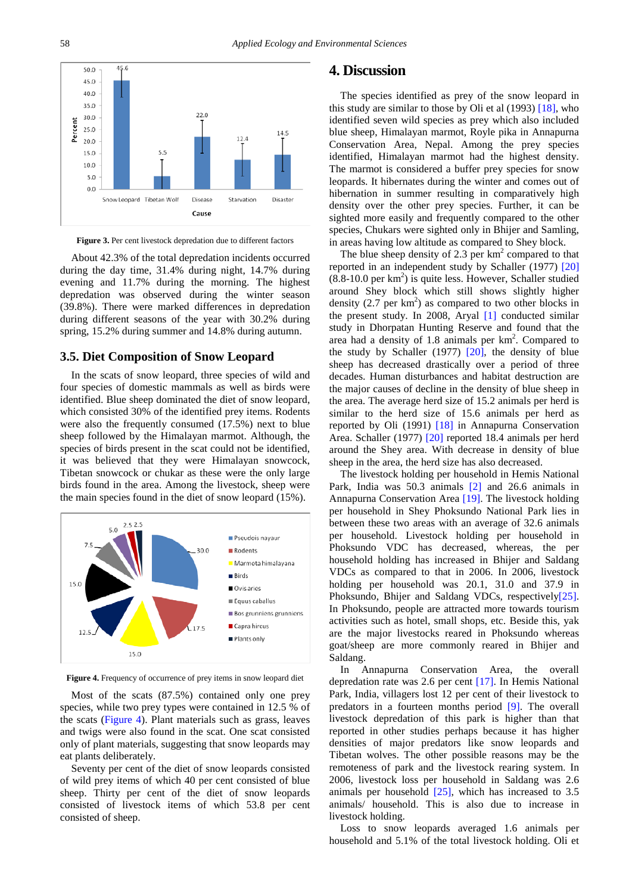<span id="page-3-0"></span>

**Figure 3.** Per cent livestock depredation due to different factors

About 42.3% of the total depredation incidents occurred during the day time, 31.4% during night, 14.7% during evening and 11.7% during the morning. The highest depredation was observed during the winter season (39.8%). There were marked differences in depredation during different seasons of the year with 30.2% during spring, 15.2% during summer and 14.8% during autumn.

#### **3.5. Diet Composition of Snow Leopard**

In the scats of snow leopard, three species of wild and four species of domestic mammals as well as birds were identified. Blue sheep dominated the diet of snow leopard, which consisted 30% of the identified prey items. Rodents were also the frequently consumed (17.5%) next to blue sheep followed by the Himalayan marmot. Although, the species of birds present in the scat could not be identified, it was believed that they were Himalayan snowcock, Tibetan snowcock or chukar as these were the only large birds found in the area. Among the livestock, sheep were the main species found in the diet of snow leopard (15%).

<span id="page-3-1"></span>

**Figure 4.** Frequency of occurrence of prey items in snow leopard diet

Most of the scats (87.5%) contained only one prey species, while two prey types were contained in 12.5 % of the scats [\(Figure 4\)](#page-3-1). Plant materials such as grass, leaves and twigs were also found in the scat. One scat consisted only of plant materials, suggesting that snow leopards may eat plants deliberately.

Seventy per cent of the diet of snow leopards consisted of wild prey items of which 40 per cent consisted of blue sheep. Thirty per cent of the diet of snow leopards consisted of livestock items of which 53.8 per cent consisted of sheep.

## **4. Discussion**

The species identified as prey of the snow leopard in this study are similar to those by Oli et al (1993) [\[18\],](#page-5-8) who identified seven wild species as prey which also included blue sheep, Himalayan marmot, Royle pika in Annapurna Conservation Area, Nepal. Among the prey species identified, Himalayan marmot had the highest density. The marmot is considered a buffer prey species for snow leopards. It hibernates during the winter and comes out of hibernation in summer resulting in comparatively high density over the other prey species. Further, it can be sighted more easily and frequently compared to the other species, Chukars were sighted only in Bhijer and Samling, in areas having low altitude as compared to Shey block.

The blue sheep density of 2.3 per  $km<sup>2</sup>$  compared to that reported in an independent study by Schaller (1977) [\[20\]](#page-5-0)  $(8.8-10.0 \text{ per km}^2)$  is quite less. However, Schaller studied around Shey block which still shows slightly higher density  $(2.7 \text{ per km}^2)$  as compared to two other blocks in the present study. In 2008, Aryal [\[1\]](#page-4-0) conducted similar study in Dhorpatan Hunting Reserve and found that the area had a density of 1.8 animals per km<sup>2</sup>. Compared to the study by Schaller (1977) [\[20\],](#page-5-0) the density of blue sheep has decreased drastically over a period of three decades. Human disturbances and habitat destruction are the major causes of decline in the density of blue sheep in the area. The average herd size of 15.2 animals per herd is similar to the herd size of 15.6 animals per herd as reported by Oli (1991) [\[18\]](#page-5-8) in Annapurna Conservation Area. Schaller (1977) [\[20\]](#page-5-0) reported 18.4 animals per herd around the Shey area. With decrease in density of blue sheep in the area, the herd size has also decreased.

The livestock holding per household in Hemis National Park, India was 50.3 animals [\[2\]](#page-4-1) and 26.6 animals in Annapurna Conservation Area [\[19\].](#page-5-18) The livestock holding per household in Shey Phoksundo National Park lies in between these two areas with an average of 32.6 animals per household. Livestock holding per household in Phoksundo VDC has decreased, whereas, the per household holding has increased in Bhijer and Saldang VDCs as compared to that in 2006. In 2006, livestock holding per household was 20.1, 31.0 and 37.9 in Phoksundo, Bhijer and Saldang VDCs, respectivel[y\[25\].](#page-5-19) In Phoksundo, people are attracted more towards tourism activities such as hotel, small shops, etc. Beside this, yak are the major livestocks reared in Phoksundo whereas goat/sheep are more commonly reared in Bhijer and Saldang.

In Annapurna Conservation Area, the overall depredation rate was 2.6 per cent [\[17\].](#page-5-17) In Hemis National Park, India, villagers lost 12 per cent of their livestock to predators in a fourteen months period [\[9\].](#page-5-20) The overall livestock depredation of this park is higher than that reported in other studies perhaps because it has higher densities of major predators like snow leopards and Tibetan wolves. The other possible reasons may be the remoteness of park and the livestock rearing system. In 2006, livestock loss per household in Saldang was 2.6 animals per household [\[25\],](#page-5-19) which has increased to 3.5 animals/ household. This is also due to increase in livestock holding.

Loss to snow leopards averaged 1.6 animals per household and 5.1% of the total livestock holding. Oli et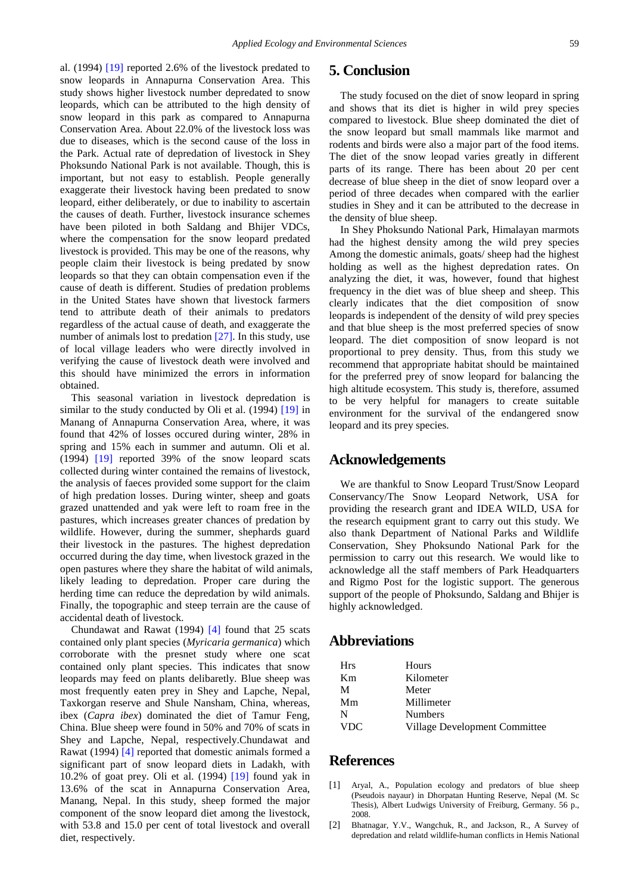al. (1994) [\[19\]](#page-5-18) reported 2.6% of the livestock predated to snow leopards in Annapurna Conservation Area. This study shows higher livestock number depredated to snow leopards, which can be attributed to the high density of snow leopard in this park as compared to Annapurna Conservation Area. About 22.0% of the livestock loss was due to diseases, which is the second cause of the loss in the Park. Actual rate of depredation of livestock in Shey Phoksundo National Park is not available. Though, this is important, but not easy to establish. People generally exaggerate their livestock having been predated to snow leopard, either deliberately, or due to inability to ascertain the causes of death. Further, livestock insurance schemes have been piloted in both Saldang and Bhijer VDCs, where the compensation for the snow leopard predated livestock is provided. This may be one of the reasons, why people claim their livestock is being predated by snow leopards so that they can obtain compensation even if the cause of death is different. Studies of predation problems in the United States have shown that livestock farmers tend to attribute death of their animals to predators regardless of the actual cause of death, and exaggerate the number of animals lost to predation [\[27\].](#page-5-21) In this study, use of local village leaders who were directly involved in verifying the cause of livestock death were involved and this should have minimized the errors in information obtained.

This seasonal variation in livestock depredation is similar to the study conducted by Oli et al. (1994) [\[19\]](#page-5-18) in Manang of Annapurna Conservation Area, where, it was found that 42% of losses occured during winter, 28% in spring and 15% each in summer and autumn. Oli et al. (1994) [\[19\]](#page-5-18) reported 39% of the snow leopard scats collected during winter contained the remains of livestock, the analysis of faeces provided some support for the claim of high predation losses. During winter, sheep and goats grazed unattended and yak were left to roam free in the pastures, which increases greater chances of predation by wildlife. However, during the summer, shephards guard their livestock in the pastures. The highest depredation occurred during the day time, when livestock grazed in the open pastures where they share the habitat of wild animals, likely leading to depredation. Proper care during the herding time can reduce the depredation by wild animals. Finally, the topographic and steep terrain are the cause of accidental death of livestock.

Chundawat and Rawat (1994) [\[4\]](#page-5-22) found that 25 scats contained only plant species (*Myricaria germanica*) which corroborate with the presnet study where one scat contained only plant species. This indicates that snow leopards may feed on plants delibaretly. Blue sheep was most frequently eaten prey in Shey and Lapche, Nepal, Taxkorgan reserve and Shule Nansham, China, whereas, ibex (*Capra ibex*) dominated the diet of Tamur Feng, China. Blue sheep were found in 50% and 70% of scats in Shey and Lapche, Nepal, respectively.Chundawat and Rawat (1994) [\[4\]](#page-5-22) reported that domestic animals formed a significant part of snow leopard diets in Ladakh, with 10.2% of goat prey. Oli et al. (1994) [\[19\]](#page-5-18) found yak in 13.6% of the scat in Annapurna Conservation Area, Manang, Nepal. In this study, sheep formed the major component of the snow leopard diet among the livestock, with 53.8 and 15.0 per cent of total livestock and overall diet, respectively.

# **5. Conclusion**

The study focused on the diet of snow leopard in spring and shows that its diet is higher in wild prey species compared to livestock. Blue sheep dominated the diet of the snow leopard but small mammals like marmot and rodents and birds were also a major part of the food items. The diet of the snow leopad varies greatly in different parts of its range. There has been about 20 per cent decrease of blue sheep in the diet of snow leopard over a period of three decades when compared with the earlier studies in Shey and it can be attributed to the decrease in the density of blue sheep.

In Shey Phoksundo National Park, Himalayan marmots had the highest density among the wild prey species Among the domestic animals, goats/ sheep had the highest holding as well as the highest depredation rates. On analyzing the diet, it was, however, found that highest frequency in the diet was of blue sheep and sheep. This clearly indicates that the diet composition of snow leopards is independent of the density of wild prey species and that blue sheep is the most preferred species of snow leopard. The diet composition of snow leopard is not proportional to prey density. Thus, from this study we recommend that appropriate habitat should be maintained for the preferred prey of snow leopard for balancing the high altitude ecosystem. This study is, therefore, assumed to be very helpful for managers to create suitable environment for the survival of the endangered snow leopard and its prey species.

# **Acknowledgements**

We are thankful to Snow Leopard Trust/Snow Leopard Conservancy/The Snow Leopard Network, USA for providing the research grant and IDEA WILD, USA for the research equipment grant to carry out this study. We also thank Department of National Parks and Wildlife Conservation, Shey Phoksundo National Park for the permission to carry out this research. We would like to acknowledge all the staff members of Park Headquarters and Rigmo Post for the logistic support. The generous support of the people of Phoksundo, Saldang and Bhijer is highly acknowledged.

## **Abbreviations**

| <b>Hrs</b> | Hours                         |
|------------|-------------------------------|
| Km         | Kilometer                     |
| M          | Meter                         |
| Mm         | Millimeter                    |
| N          | <b>Numbers</b>                |
| <b>VDC</b> | Village Development Committee |

## **References**

- <span id="page-4-0"></span>[1] Aryal, A., Population ecology and predators of blue sheep (Pseudois nayaur) in Dhorpatan Hunting Reserve, Nepal (M. Sc Thesis), Albert Ludwigs University of Freiburg, Germany. 56 p., 2008.
- <span id="page-4-1"></span>[2] Bhatnagar, Y.V., Wangchuk, R., and Jackson, R., A Survey of depredation and relatd wildlife-human conflicts in Hemis National